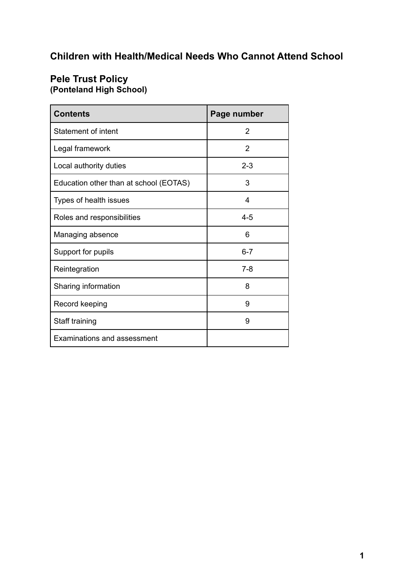# **Children with Health/Medical Needs Who Cannot Attend School**

## **Pele Trust Policy (Ponteland High School)**

| <b>Contents</b>                        | Page number |
|----------------------------------------|-------------|
| <b>Statement of intent</b>             | 2           |
| Legal framework                        | 2           |
| Local authority duties                 | $2 - 3$     |
| Education other than at school (EOTAS) | 3           |
| Types of health issues                 | 4           |
| Roles and responsibilities             | $4 - 5$     |
| Managing absence                       | 6           |
| Support for pupils                     | $6 - 7$     |
| Reintegration                          | $7 - 8$     |
| Sharing information                    | 8           |
| Record keeping                         | 9           |
| Staff training                         | 9           |
| <b>Examinations and assessment</b>     |             |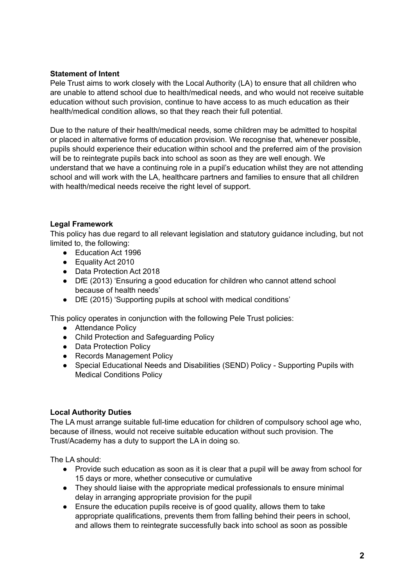## **Statement of Intent**

Pele Trust aims to work closely with the Local Authority (LA) to ensure that all children who are unable to attend school due to health/medical needs, and who would not receive suitable education without such provision, continue to have access to as much education as their health/medical condition allows, so that they reach their full potential.

Due to the nature of their health/medical needs, some children may be admitted to hospital or placed in alternative forms of education provision. We recognise that, whenever possible, pupils should experience their education within school and the preferred aim of the provision will be to reintegrate pupils back into school as soon as they are well enough. We understand that we have a continuing role in a pupil's education whilst they are not attending school and will work with the LA, healthcare partners and families to ensure that all children with health/medical needs receive the right level of support.

## **Legal Framework**

This policy has due regard to all relevant legislation and statutory guidance including, but not limited to, the following:

- Education Act 1996
- Equality Act 2010
- Data Protection Act 2018
- DfE (2013) 'Ensuring a good education for children who cannot attend school because of health needs'
- DfE (2015) 'Supporting pupils at school with medical conditions'

This policy operates in conjunction with the following Pele Trust policies:

- Attendance Policy
- Child Protection and Safeguarding Policy
- Data Protection Policy
- Records Management Policy
- Special Educational Needs and Disabilities (SEND) Policy Supporting Pupils with Medical Conditions Policy

## **Local Authority Duties**

The LA must arrange suitable full-time education for children of compulsory school age who, because of illness, would not receive suitable education without such provision. The Trust/Academy has a duty to support the LA in doing so.

The LA should:

- Provide such education as soon as it is clear that a pupil will be away from school for 15 days or more, whether consecutive or cumulative
- They should liaise with the appropriate medical professionals to ensure minimal delay in arranging appropriate provision for the pupil
- Ensure the education pupils receive is of good quality, allows them to take appropriate qualifications, prevents them from falling behind their peers in school, and allows them to reintegrate successfully back into school as soon as possible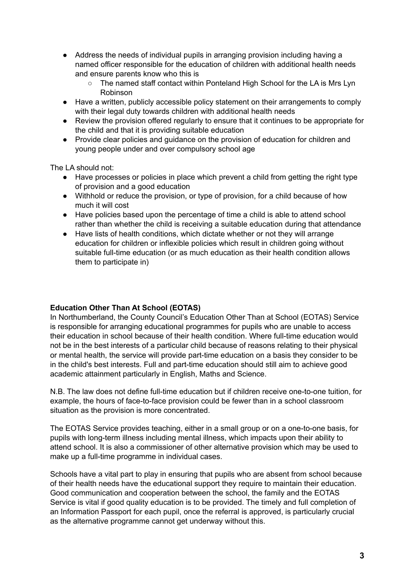- Address the needs of individual pupils in arranging provision including having a named officer responsible for the education of children with additional health needs and ensure parents know who this is
	- The named staff contact within Ponteland High School for the LA is Mrs Lyn Robinson
- Have a written, publicly accessible policy statement on their arrangements to comply with their legal duty towards children with additional health needs
- Review the provision offered regularly to ensure that it continues to be appropriate for the child and that it is providing suitable education
- Provide clear policies and guidance on the provision of education for children and young people under and over compulsory school age

The LA should not:

- Have processes or policies in place which prevent a child from getting the right type of provision and a good education
- Withhold or reduce the provision, or type of provision, for a child because of how much it will cost
- Have policies based upon the percentage of time a child is able to attend school rather than whether the child is receiving a suitable education during that attendance
- Have lists of health conditions, which dictate whether or not they will arrange education for children or inflexible policies which result in children going without suitable full-time education (or as much education as their health condition allows them to participate in)

## **Education Other Than At School (EOTAS)**

In Northumberland, the County Council's Education Other Than at School (EOTAS) Service is responsible for arranging educational programmes for pupils who are unable to access their education in school because of their health condition. Where full-time education would not be in the best interests of a particular child because of reasons relating to their physical or mental health, the service will provide part-time education on a basis they consider to be in the child's best interests. Full and part-time education should still aim to achieve good academic attainment particularly in English, Maths and Science.

N.B. The law does not define full-time education but if children receive one-to-one tuition, for example, the hours of face-to-face provision could be fewer than in a school classroom situation as the provision is more concentrated.

The EOTAS Service provides teaching, either in a small group or on a one-to-one basis, for pupils with long-term illness including mental illness, which impacts upon their ability to attend school. It is also a commissioner of other alternative provision which may be used to make up a full-time programme in individual cases.

Schools have a vital part to play in ensuring that pupils who are absent from school because of their health needs have the educational support they require to maintain their education. Good communication and cooperation between the school, the family and the EOTAS Service is vital if good quality education is to be provided. The timely and full completion of an Information Passport for each pupil, once the referral is approved, is particularly crucial as the alternative programme cannot get underway without this.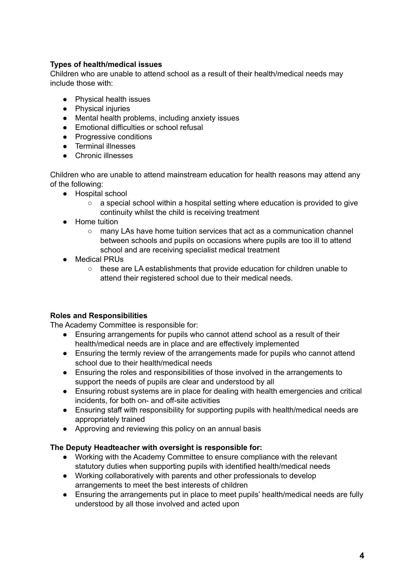## **Types of health/medical issues**

Children who are unable to attend school as a result of their health/medical needs may include those with:

- Physical health issues
- Physical injuries
- Mental health problems, including anxiety issues
- Emotional difficulties or school refusal
- Progressive conditions
- Terminal illnesses
- Chronic illnesses

Children who are unable to attend mainstream education for health reasons may attend any of the following:

- Hospital school
	- a special school within a hospital setting where education is provided to give continuity whilst the child is receiving treatment
- Home tuition
	- many LAs have home tuition services that act as a communication channel between schools and pupils on occasions where pupils are too ill to attend school and are receiving specialist medical treatment
- Medical PRUs
	- these are LA establishments that provide education for children unable to attend their registered school due to their medical needs.

## **Roles and Responsibilities**

The Academy Committee is responsible for:

- Ensuring arrangements for pupils who cannot attend school as a result of their health/medical needs are in place and are effectively implemented
- Ensuring the termly review of the arrangements made for pupils who cannot attend school due to their health/medical needs
- Ensuring the roles and responsibilities of those involved in the arrangements to support the needs of pupils are clear and understood by all
- Ensuring robust systems are in place for dealing with health emergencies and critical incidents, for both on- and off-site activities
- Ensuring staff with responsibility for supporting pupils with health/medical needs are appropriately trained
- Approving and reviewing this policy on an annual basis

## **The Deputy Headteacher with oversight is responsible for:**

- Working with the Academy Committee to ensure compliance with the relevant statutory duties when supporting pupils with identified health/medical needs
- Working collaboratively with parents and other professionals to develop arrangements to meet the best interests of children
- Ensuring the arrangements put in place to meet pupils' health/medical needs are fully understood by all those involved and acted upon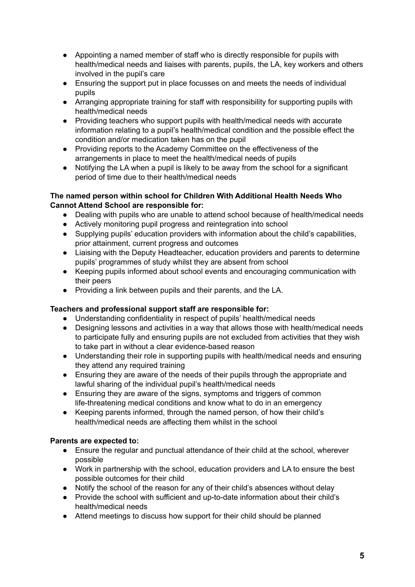- Appointing a named member of staff who is directly responsible for pupils with health/medical needs and liaises with parents, pupils, the LA, key workers and others involved in the pupil's care
- Ensuring the support put in place focusses on and meets the needs of individual pupils
- Arranging appropriate training for staff with responsibility for supporting pupils with health/medical needs
- Providing teachers who support pupils with health/medical needs with accurate information relating to a pupil's health/medical condition and the possible effect the condition and/or medication taken has on the pupil
- Providing reports to the Academy Committee on the effectiveness of the arrangements in place to meet the health/medical needs of pupils
- Notifying the LA when a pupil is likely to be away from the school for a significant period of time due to their health/medical needs

## **The named person within school for Children With Additional Health Needs Who Cannot Attend School are responsible for:**

- Dealing with pupils who are unable to attend school because of health/medical needs
- Actively monitoring pupil progress and reintegration into school
- Supplying pupils' education providers with information about the child's capabilities, prior attainment, current progress and outcomes
- Liaising with the Deputy Headteacher, education providers and parents to determine pupils' programmes of study whilst they are absent from school
- Keeping pupils informed about school events and encouraging communication with their peers
- Providing a link between pupils and their parents, and the LA.

## **Teachers and professional support staff are responsible for:**

- Understanding confidentiality in respect of pupils' health/medical needs
- Designing lessons and activities in a way that allows those with health/medical needs to participate fully and ensuring pupils are not excluded from activities that they wish to take part in without a clear evidence-based reason
- Understanding their role in supporting pupils with health/medical needs and ensuring they attend any required training
- Ensuring they are aware of the needs of their pupils through the appropriate and lawful sharing of the individual pupil's health/medical needs
- Ensuring they are aware of the signs, symptoms and triggers of common life-threatening medical conditions and know what to do in an emergency
- Keeping parents informed, through the named person, of how their child's health/medical needs are affecting them whilst in the school

## **Parents are expected to:**

- Ensure the regular and punctual attendance of their child at the school, wherever possible
- Work in partnership with the school, education providers and LA to ensure the best possible outcomes for their child
- Notify the school of the reason for any of their child's absences without delay
- Provide the school with sufficient and up-to-date information about their child's health/medical needs
- Attend meetings to discuss how support for their child should be planned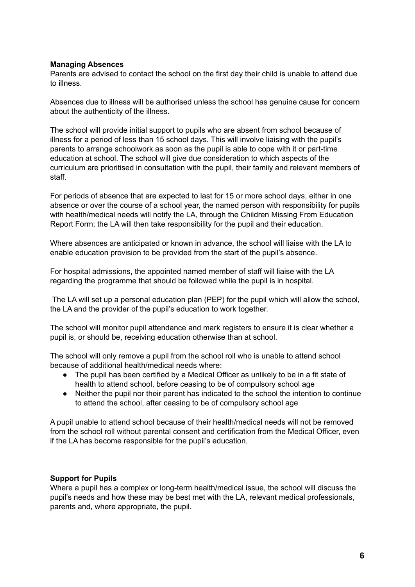## **Managing Absences**

Parents are advised to contact the school on the first day their child is unable to attend due to illness.

Absences due to illness will be authorised unless the school has genuine cause for concern about the authenticity of the illness.

The school will provide initial support to pupils who are absent from school because of illness for a period of less than 15 school days. This will involve liaising with the pupil's parents to arrange schoolwork as soon as the pupil is able to cope with it or part-time education at school. The school will give due consideration to which aspects of the curriculum are prioritised in consultation with the pupil, their family and relevant members of staff.

For periods of absence that are expected to last for 15 or more school days, either in one absence or over the course of a school year, the named person with responsibility for pupils with health/medical needs will notify the LA, through the Children Missing From Education Report Form; the LA will then take responsibility for the pupil and their education.

Where absences are anticipated or known in advance, the school will liaise with the LA to enable education provision to be provided from the start of the pupil's absence.

For hospital admissions, the appointed named member of staff will liaise with the LA regarding the programme that should be followed while the pupil is in hospital.

The LA will set up a personal education plan (PEP) for the pupil which will allow the school, the LA and the provider of the pupil's education to work together.

The school will monitor pupil attendance and mark registers to ensure it is clear whether a pupil is, or should be, receiving education otherwise than at school.

The school will only remove a pupil from the school roll who is unable to attend school because of additional health/medical needs where:

- The pupil has been certified by a Medical Officer as unlikely to be in a fit state of health to attend school, before ceasing to be of compulsory school age
- Neither the pupil nor their parent has indicated to the school the intention to continue to attend the school, after ceasing to be of compulsory school age

A pupil unable to attend school because of their health/medical needs will not be removed from the school roll without parental consent and certification from the Medical Officer, even if the LA has become responsible for the pupil's education.

## **Support for Pupils**

Where a pupil has a complex or long-term health/medical issue, the school will discuss the pupil's needs and how these may be best met with the LA, relevant medical professionals, parents and, where appropriate, the pupil.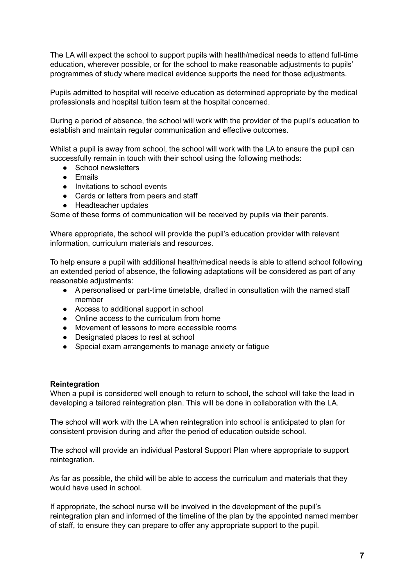The LA will expect the school to support pupils with health/medical needs to attend full-time education, wherever possible, or for the school to make reasonable adjustments to pupils' programmes of study where medical evidence supports the need for those adjustments.

Pupils admitted to hospital will receive education as determined appropriate by the medical professionals and hospital tuition team at the hospital concerned.

During a period of absence, the school will work with the provider of the pupil's education to establish and maintain regular communication and effective outcomes.

Whilst a pupil is away from school, the school will work with the LA to ensure the pupil can successfully remain in touch with their school using the following methods:

- School newsletters
- Emails
- Invitations to school events
- Cards or letters from peers and staff
- Headteacher updates

Some of these forms of communication will be received by pupils via their parents.

Where appropriate, the school will provide the pupil's education provider with relevant information, curriculum materials and resources.

To help ensure a pupil with additional health/medical needs is able to attend school following an extended period of absence, the following adaptations will be considered as part of any reasonable adjustments:

- A personalised or part-time timetable, drafted in consultation with the named staff member
- Access to additional support in school
- Online access to the curriculum from home
- Movement of lessons to more accessible rooms
- Designated places to rest at school
- Special exam arrangements to manage anxiety or fatigue

## **Reintegration**

When a pupil is considered well enough to return to school, the school will take the lead in developing a tailored reintegration plan. This will be done in collaboration with the LA.

The school will work with the LA when reintegration into school is anticipated to plan for consistent provision during and after the period of education outside school.

The school will provide an individual Pastoral Support Plan where appropriate to support reintegration.

As far as possible, the child will be able to access the curriculum and materials that they would have used in school.

If appropriate, the school nurse will be involved in the development of the pupil's reintegration plan and informed of the timeline of the plan by the appointed named member of staff, to ensure they can prepare to offer any appropriate support to the pupil.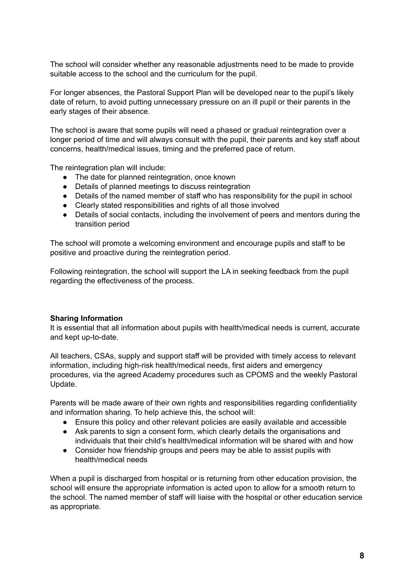The school will consider whether any reasonable adjustments need to be made to provide suitable access to the school and the curriculum for the pupil.

For longer absences, the Pastoral Support Plan will be developed near to the pupil's likely date of return, to avoid putting unnecessary pressure on an ill pupil or their parents in the early stages of their absence.

The school is aware that some pupils will need a phased or gradual reintegration over a longer period of time and will always consult with the pupil, their parents and key staff about concerns, health/medical issues, timing and the preferred pace of return.

The reintegration plan will include:

- The date for planned reintegration, once known
- Details of planned meetings to discuss reintegration
- Details of the named member of staff who has responsibility for the pupil in school
- Clearly stated responsibilities and rights of all those involved
- Details of social contacts, including the involvement of peers and mentors during the transition period

The school will promote a welcoming environment and encourage pupils and staff to be positive and proactive during the reintegration period.

Following reintegration, the school will support the LA in seeking feedback from the pupil regarding the effectiveness of the process.

## **Sharing Information**

It is essential that all information about pupils with health/medical needs is current, accurate and kept up-to-date.

All teachers, CSAs, supply and support staff will be provided with timely access to relevant information, including high-risk health/medical needs, first aiders and emergency procedures, via the agreed Academy procedures such as CPOMS and the weekly Pastoral Update.

Parents will be made aware of their own rights and responsibilities regarding confidentiality and information sharing. To help achieve this, the school will:

- Ensure this policy and other relevant policies are easily available and accessible
- Ask parents to sign a consent form, which clearly details the organisations and individuals that their child's health/medical information will be shared with and how
- Consider how friendship groups and peers may be able to assist pupils with health/medical needs

When a pupil is discharged from hospital or is returning from other education provision, the school will ensure the appropriate information is acted upon to allow for a smooth return to the school. The named member of staff will liaise with the hospital or other education service as appropriate.